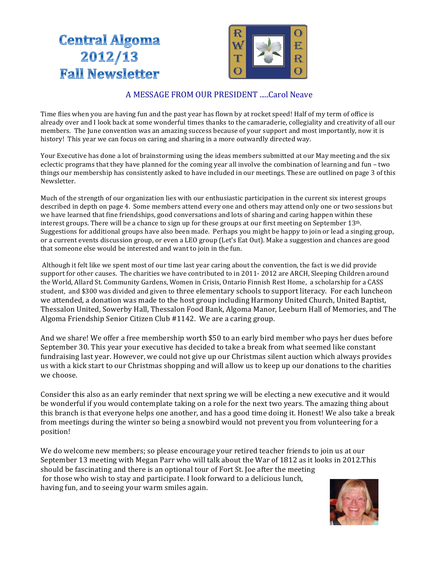# **Central Algoma** 2012/13 **Fall Newsletter**



## A MESSAGE FROM OUR PRESIDENT .....Carol Neave

Time flies when you are having fun and the past year has flown by at rocket speed! Half of my term of office is already over and I look back at some wonderful times thanks to the camaraderie, collegiality and creativity of all our members. The June convention was an amazing success because of your support and most importantly, now it is history! This year we can focus on caring and sharing in a more outwardly directed way.

Your Executive has done a lot of brainstorming using the ideas members submitted at our May meeting and the six eclectic programs that they have planned for the coming year all involve the combination of learning and fun – two things our membership has consistently asked to have included in our meetings. These are outlined on page 3 of this Newsletter.

Much of the strength of our organization lies with our enthusiastic participation in the current six interest groups described in depth on page 4. Some members attend every one and others may attend only one or two sessions but we have learned that fine friendships, good conversations and lots of sharing and caring happen within these interest groups. There will be a chance to sign up for these groups at our first meeting on September  $13<sup>th</sup>$ . Suggestions for additional groups have also been made. Perhaps you might be happy to join or lead a singing group, or a current events discussion group, or even a LEO group (Let's Eat Out). Make a suggestion and chances are good that someone else would be interested and want to join in the fun.

Although it felt like we spent most of our time last year caring about the convention, the fact is we did provide support for other causes. The charities we have contributed to in 2011- 2012 are ARCH, Sleeping Children around the World, Allard St. Community Gardens, Women in Crisis, Ontario Finnish Rest Home, a scholarship for a CASS student, and \$300 was divided and given to three elementary schools to support literacy. For each luncheon we attended, a donation was made to the host group including Harmony United Church, United Baptist, Thessalon United, Sowerby Hall, Thessalon Food Bank, Algoma Manor, Leeburn Hall of Memories, and The Algoma Friendship Senior Citizen Club #1142. We are a caring group.

And we share! We offer a free membership worth \$50 to an early bird member who pays her dues before September 30. This year your executive has decided to take a break from what seemed like constant fundraising last year. However, we could not give up our Christmas silent auction which always provides us with a kick start to our Christmas shopping and will allow us to keep up our donations to the charities we choose.

Consider this also as an early reminder that next spring we will be electing a new executive and it would be wonderful if you would contemplate taking on a role for the next two years. The amazing thing about this branch is that everyone helps one another, and has a good time doing it. Honest! We also take a break from meetings during the winter so being a snowbird would not prevent you from volunteering for a position!

We do welcome new members; so please encourage your retired teacher friends to join us at our September 13 meeting with Megan Parr who will talk about the War of 1812 as it looks in 2012. This should be fascinating and there is an optional tour of Fort St. Joe after the meeting for those who wish to stay and participate. I look forward to a delicious lunch, having fun, and to seeing your warm smiles again.

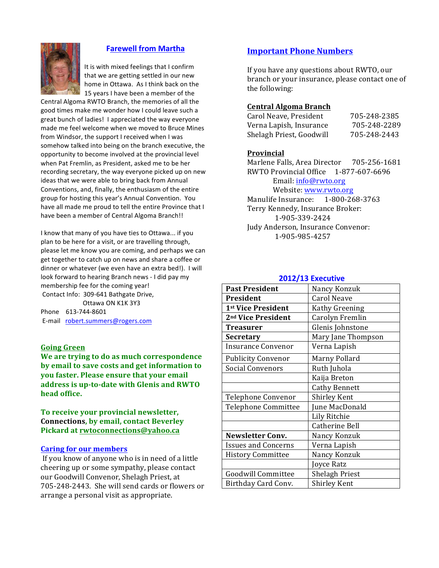#### **Farewell from Martha**

It is with mixed feelings that I confirm that we are getting settled in our new home in Ottawa. As I think back on the 15 years I have been a member of the

Central Algoma RWTO Branch, the memories of all the good times make me wonder how I could leave such a great bunch of ladies! I appreciated the way everyone made me feel welcome when we moved to Bruce Mines from Windsor, the support I received when I was somehow talked into being on the branch executive, the opportunity to become involved at the provincial level when Pat Fremlin, as President, asked me to be her recording secretary, the way everyone picked up on new ideas that we were able to bring back from Annual Conventions, and, finally, the enthusiasm of the entire group for hosting this year's Annual Convention. You have all made me proud to tell the entire Province that I have been a member of Central Algoma Branch!!

I know that many of you have ties to Ottawa... if you plan to be here for a visit, or are travelling through, please let me know you are coming, and perhaps we can get together to catch up on news and share a coffee or dinner or whatever (we even have an extra bed!). I will look forward to hearing Branch news - I did pay my membership fee for the coming year! Contact Info: 309-641 Bathgate Drive, Ottawa ON K1K 3Y3

Phone 613-744-8601 E-mail robert.summers@rogers.com

#### **Going Green**

**We are trying to do as much correspondence** by email to save costs and get information to **you faster. Please ensure that your email** address is up-to-date with Glenis and RWTO **head office.**

To receive your provincial newsletter, **Connections, by email, contact Beverley Pickard at rwtoconnections@yahoo.ca**

#### **Caring for our members**

If you know of anyone who is in need of a little cheering up or some sympathy, please contact our Goodwill Convenor, Shelagh Priest, at 705-248-2443. She will send cards or flowers or arrange a personal visit as appropriate.

#### **Important Phone Numbers**

If you have any questions about RWTO, our branch or your insurance, please contact one of the following:

#### **Central Algoma Branch**

| Carol Neave, President   | 705-248-2385 |
|--------------------------|--------------|
| Verna Lapish, Insurance  | 705-248-2289 |
| Shelagh Priest, Goodwill | 705-248-2443 |

#### **Provincial**

Marlene Falls, Area Director 705-256-1681 RWTO Provincial Office 1-877-607-6696 Email: info@rwto.org Website: www.rwto.org Manulife Insurance: 1-800-268-3763 Terry Kennedy, Insurance Broker: 1-905-339-2424 Judy Anderson, Insurance Convenor: 1-905-985-4257

#### **2012/13 Executive**

| <b>Past President</b>          | Nancy Konzuk          |
|--------------------------------|-----------------------|
| President                      | <b>Carol Neave</b>    |
| 1st Vice President             | Kathy Greening        |
| 2 <sup>nd</sup> Vice President | Carolyn Fremlin       |
| Treasurer                      | Glenis Johnstone      |
| <b>Secretary</b>               | Mary Jane Thompson    |
| Insurance Convenor             | Verna Lapish          |
| <b>Publicity Convenor</b>      | Marny Pollard         |
| <b>Social Convenors</b>        | Ruth Juhola           |
|                                | Kaija Breton          |
|                                | <b>Cathy Bennett</b>  |
| Telephone Convenor             | <b>Shirley Kent</b>   |
| Telephone Committee            | June MacDonald        |
|                                | Lily Ritchie          |
|                                | Catherine Bell        |
| <b>Newsletter Conv.</b>        | Nancy Konzuk          |
| <b>Issues and Concerns</b>     | Verna Lapish          |
| <b>History Committee</b>       | Nancy Konzuk          |
|                                | Joyce Ratz            |
| Goodwill Committee             | <b>Shelagh Priest</b> |
| Birthday Card Conv.            | Shirley Kent          |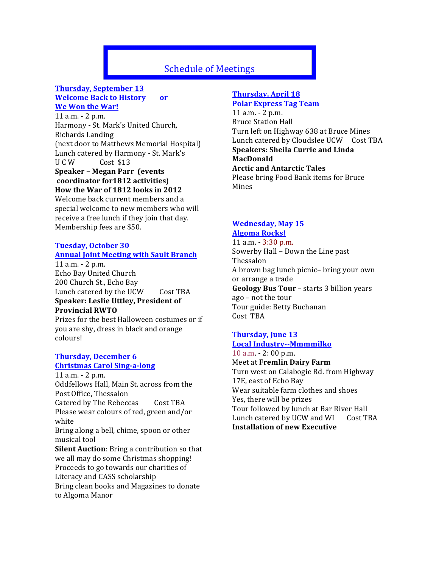# **Schedule of Meetings**

### **Thursday, September 13 Welcome Back to History or We Won the War!**

 $11$  a.m.  $- 2$  p.m. Harmony - St. Mark's United Church, Richards Landing (next door to Matthews Memorial Hospital) Lunch catered by Harmony - St. Mark's U C W Cost \$13

#### **Speaker - Megan Parr (events) coordinator for1812 activities**) How the War of 1812 looks in 2012

Welcome back current members and a special welcome to new members who will receive a free lunch if they join that day. Membership fees are \$50.

#### **Tuesday, October 30 Annual Joint Meeting with Sault Branch**

 $11$  a.m.  $- 2$  p.m. Echo Bay United Church 200 Church St., Echo Bay Lunch catered by the UCW Cost TBA **Speaker: Leslie Uttley, President of Provincial RWTO**

Prizes for the best Halloween costumes or if you are shy, dress in black and orange colours!

#### **Thursday, December 6 Christmas Carol Sing-a-long**

 $11$  a.m.  $- 2$  p.m. Oddfellows Hall, Main St. across from the Post Office, Thessalon Catered by The Rebeccas Cost TBA Please wear colours of red, green and/or white Bring along a bell, chime, spoon or other musical tool **Silent Auction**: Bring a contribution so that we all may do some Christmas shopping! Proceeds to go towards our charities of Literacy and CASS scholarship Bring clean books and Magazines to donate to Algoma Manor

# **Thursday, April 18**

**Polar Express Tag Team**  $11$  a.m.  $- 2$  p.m. Bruce Station Hall Turn left on Highway 638 at Bruce Mines Lunch catered by Cloudslee UCW Cost TBA **Speakers: Sheila Currie and Linda MacDonald Arctic and Antarctic Tales** Please bring Food Bank items for Bruce

Mines 

#### **Wednesday, May 15 Algoma Rocks!**

11 a.m.  $-$  3:30 p.m. Sowerby Hall - Down the Line past Thessalon A brown bag lunch picnic– bring your own or arrange a trade **Geology Bus Tour** – starts 3 billion years ago – not the tour Tour guide: Betty Buchanan Cost TBA

#### Thursday, June 13 **Local Industry--Mmmmilko**

 $10$  a.m.  $- 2$ : 00 p.m. Meet at **Fremlin Dairy Farm** Turn west on Calabogie Rd. from Highway 17E, east of Echo Bay Wear suitable farm clothes and shoes Yes, there will be prizes Tour followed by lunch at Bar River Hall Lunch catered by UCW and WI Cost TBA **Installation of new Executive**